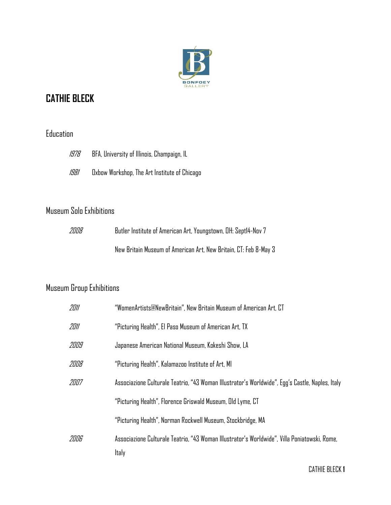

# **CATHIE BLECK**

#### Education

| 1978 | BFA, University of Illinois, Champaign, IL   |
|------|----------------------------------------------|
| 1981 | Oxbow Workshop, The Art Institute of Chicago |

### Museum Solo Exhibitions

| 2008 | Butler Institute of American Art, Youngstown, OH: Sept14-Nov 7   |
|------|------------------------------------------------------------------|
|      | New Britain Museum of American Art, New Britain, CT: Feb 8-May 3 |

### Museum Group Exhibitions

| 2011 | "WomenArtists@NewBritain", New Britain Museum of American Art, CT                                     |  |
|------|-------------------------------------------------------------------------------------------------------|--|
| 2011 | "Picturing Health", El Paso Museum of American Art, TX                                                |  |
| 2009 | Japanese American National Museum, Kokeshi Show, LA                                                   |  |
| 2008 | "Picturing Health", Kalamazoo Institute of Art, MI                                                    |  |
| 2007 | Associazione Culturale Teatrio, "43 Woman Illustrator's Worldwide", Egg's Castle, Naples, Italy       |  |
|      | "Picturing Health", Florence Griswald Museum, Old Lyme, CT                                            |  |
|      | "Picturing Health", Norman Rockwell Museum, Stockbridge, MA                                           |  |
| 2006 | Associazione Culturale Teatrio, "43 Woman Illustrator's Worldwide", Villa Poniatowski, Rome,<br>Italy |  |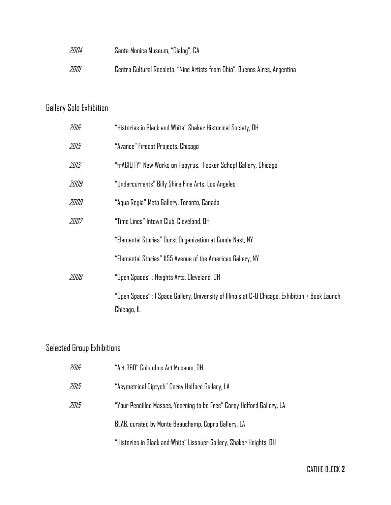| 2004 | Santa Monica Museum, "Dialog", CA                                           |
|------|-----------------------------------------------------------------------------|
| 2001 | Centro Cultural Recoleta, "Nine Artists from Ohio", Buenos Aires, Argentina |

## Gallery Solo Exhibition

| 2016 | "Histories in Black and White" Shaker Historical Society, OH                                                     |
|------|------------------------------------------------------------------------------------------------------------------|
| 2015 | "Avance" Firecat Projects, Chicago                                                                               |
| 2013 | "frAGILITY" New Works on Papyrus,  Packer Schopf Gallery, Chicago                                                |
| 2009 | "Undercurrents" Billy Shire Fine Arts, Los Angeles                                                               |
| 2009 | "Aqua Regia" Meta Gallery, Toronto, Canada                                                                       |
| 2007 | "Time Lines" Intown Club, Cleveland, OH                                                                          |
|      | "Elemental Stories" Durst Organization at Conde Nast, NY                                                         |
|      | "Elemental Stories" 1155 Avenue of the Americas Gallery, NY                                                      |
| 2006 | "Open Spaces" : Heights Arts, Cleveland, OH                                                                      |
|      | "Open Spaces" : I Space Gallery, University of Illinois at C-U Chicago, Exhibition + Book Launch,<br>Chicago, IL |

## Selected Group Exhibitions

| 2016 | "Art 360" Columbus Art Museum, OH                                      |
|------|------------------------------------------------------------------------|
| 2015 | "Asymetrical Diptych" Corey Helford Gallery, LA                        |
| 2015 | "Your Pencilled Masses, Yearning to be Free" Corey Helford Gallery, LA |
|      | BLAB, curated by Monte Beauchamp, Copro Gallery, LA                    |
|      | "Histories in Black and White" Lissauer Gallery, Shaker Heights, OH    |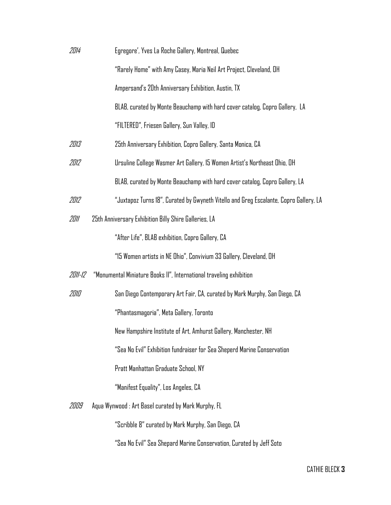| 2014    | Egregore', Yves La Roche Gallery, Montreal, Quebec                                    |
|---------|---------------------------------------------------------------------------------------|
|         | "Rarely Home" with Amy Casey, Maria Neil Art Project, Cleveland, OH                   |
|         | Ampersand's 20th Anniversary Exhibition, Austin, TX                                   |
|         | BLAB, curated by Monte Beauchamp with hard cover catalog, Copro Gallery, LA           |
|         | "FILTERED", Friesen Gallery, Sun Valley, ID                                           |
| 2013    | 25th Anniversary Exhibition, Copro Gallery, Santa Monica, CA                          |
| 2012    | Ursuline College Wasmer Art Gallery, 15 Women Artist's Northeast Ohio, OH             |
|         | BLAB, curated by Monte Beauchamp with hard cover catalog, Copro Gallery, LA           |
| 2012    | "Juxtapoz Turns 18", Curated by Gwyneth Vitello and Greg Escalante, Copro Gallery, LA |
| 2011    | 25th Anniversary Exhibition Billy Shire Galleries, LA                                 |
|         | "After Life", BLAB exhibition, Copro Gallery, CA                                      |
|         | "15 Women artists in NE Ohio", Convivium 33 Gallery, Cleveland, OH                    |
| 2011-12 | "Monumental Miniature Books II", International traveling exhibition                   |
| 2010    | San Diego Contemporary Art Fair, CA, curated by Mark Murphy, San Diego, CA            |
|         | "Phantasmagoria", Meta Gallery, Toronto                                               |
|         | New Hampshire Institute of Art, Amhurst Gallery, Manchester, NH                       |
|         | "Sea No Evil" Exhibition fundraiser for Sea Sheperd Marine Conservation               |
|         | Pratt Manhattan Graduate School, NY                                                   |
|         | "Manifest Equality", Los Angeles, CA                                                  |
| 2009    | Aqua Wynwood : Art Basel curated by Mark Murphy, FL                                   |
|         | "Scribble 8" curated by Mark Murphy, San Diego, CA                                    |
|         | "Sea No Evil" Sea Shepard Marine Conservation, Curated by Jeff Soto                   |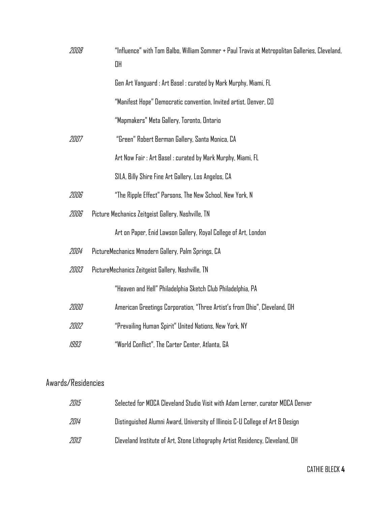| 2008 | "Influence" with Tom Balbo, William Sommer + Paul Travis at Metropolitan Galleries, Cleveland,<br>OH |
|------|------------------------------------------------------------------------------------------------------|
|      | Gen Art Vanguard : Art Basel : curated by Mark Murphy, Miami, FL                                     |
|      | "Manifest Hope" Democratic convention, Invited artist, Denver, CO                                    |
|      | "Mapmakers" Meta Gallery, Toronto, Ontario                                                           |
| 2007 | "Green" Robert Berman Gallery, Santa Monica, CA                                                      |
|      | Art Now Fair : Art Basel : curated by Mark Murphy, Miami, FL                                         |
|      | SILA, Billy Shire Fine Art Gallery, Los Angelos, CA                                                  |
| 2006 | "The Ripple Effect" Parsons, The New School, New York, N                                             |
| 2006 | Picture Mechanics Zeitgeist Gallery, Nashville, TN                                                   |
|      | Art on Paper, Enid Lawson Gallery, Royal College of Art, London                                      |
| 2004 | PictureMechanics Mmodern Gallery, Palm Springs, CA                                                   |
| 2003 | PictureMechanics Zeitgeist Gallery, Nashville, TN                                                    |
|      | "Heaven and Hell" Philadelphia Sketch Club Philadelphia, PA                                          |
| 2000 | American Greetings Corporation, "Three Artist's from Ohio", Cleveland, OH                            |
| 2002 | "Prevailing Human Spirit" United Nations, New York, NY                                               |
| 1993 | "World Conflict", The Carter Center, Atlanta, GA                                                     |

#### Awards/Residencies

| 2015 | Selected for MOCA Cleveland Studio Visit with Adam Lerner, curator MOCA Denver |
|------|--------------------------------------------------------------------------------|
| 2014 | Distinguished Alumni Award, University of Illinois C-U College of Art & Design |
| 2013 | Cleveland Institute of Art, Stone Lithography Artist Residency, Cleveland, OH  |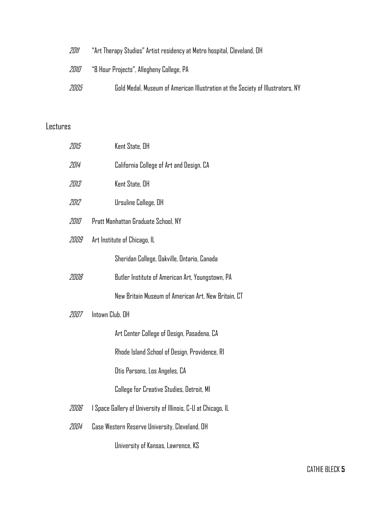| 2011 | "Art Therapy Studios" Artist residency at Metro hospital, Cleveland, OH        |
|------|--------------------------------------------------------------------------------|
| 2010 | "8 Hour Projects", Allegheny College, PA                                       |
| 2005 | Gold Medal, Museum of American Illustration at the Society of Illustrators, NY |

#### Lectures

| 2015 | Kent State, OH                                                |
|------|---------------------------------------------------------------|
| 2014 | California College of Art and Design, CA                      |
| 2013 | Kent State, OH                                                |
| 2012 | Ursuline College, OH                                          |
| 2010 | Pratt Manhattan Graduate School, NY                           |
| 2009 | Art Institute of Chicago, IL                                  |
|      | Sheridan College, Dakville, Ontario, Canada                   |
| 2008 | Butler Institute of American Art, Youngstown, PA              |
|      | New Britain Museum of American Art, New Britain, CT           |
| 2007 | Intown Club, OH                                               |
|      | Art Center College of Design, Pasadena, CA                    |
|      | Rhode Island School of Design, Providence, RI                 |
|      | Otis Parsons, Los Angeles, CA                                 |
|      | College for Creative Studies, Detroit, MI                     |
| 2006 | I Space Gallery of University of Illinois, C-U at Chicago, IL |
| 2004 | Case Western Reserve University, Cleveland, OH                |
|      | University of Kansas, Lawrence, KS                            |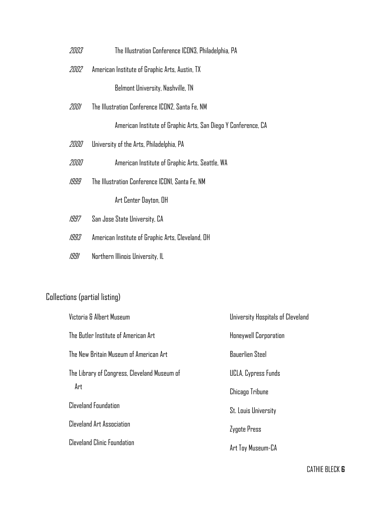- 2003 The Illustration Conference ICON3, Philadelphia, PA
- 2002 American Institute of Graphic Arts, Austin, TX

Belmont University, Nashville, TN

2001 The Illustration Conference ICON2, Santa Fe, NM

American Institute of Graphic Arts, San Diego Y Conference, CA

- 2000 University of the Arts, Philadelphia, PA
- 2000 American Institute of Graphic Arts, Seattle, WA
- 1999 The Illustration Conference ICON1, Santa Fe, NM

Art Center Dayton, OH

- 1997 San Jose State University, CA
- 1993 American Institute of Graphic Arts, Cleveland, OH
- 1991 Northern Illinois University, IL

#### Collections (partial listing)

| Victoria & Albert Museum                     | University Hospitals of Cleveland |
|----------------------------------------------|-----------------------------------|
| The Butler Institute of American Art         | Honeywell Corporation             |
| The New Britain Museum of American Art       | <b>Bauerlien Steel</b>            |
| The Library of Congress, Cleveland Museum of | UCLA, Cypress Funds               |
| Art                                          | Chicago Tribune                   |
| <b>Cleveland Foundation</b>                  | <b>St. Louis University</b>       |
| <b>Cleveland Art Association</b>             | Zygote Press                      |
| Cleveland Clinic Foundation                  | Art Toy Museum-CA                 |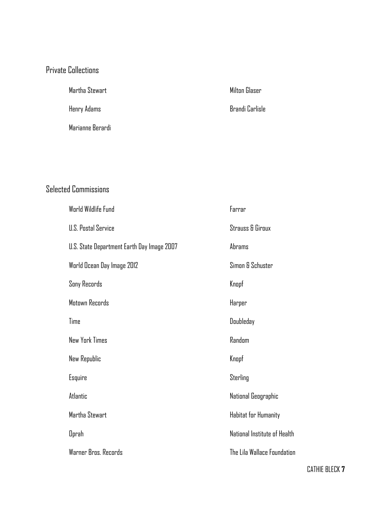#### Private Collections

Martha Stewart

Henry Adams

Marianne Berardi

Milton Glaser

Brandi Carlisle

### Selected Commissions

| World Wildlife Fund                        | Farrar                       |
|--------------------------------------------|------------------------------|
| U.S. Postal Service                        | <b>Strauss &amp; Giroux</b>  |
| U.S. State Department Earth Day Image 2007 | Abrams                       |
| World Ocean Day Image 2012                 | Simon & Schuster             |
| Sony Records                               | Knopf                        |
| Motown Records                             | Harper                       |
| Time                                       | Doubleday                    |
| <b>New York Times</b>                      | Random                       |
| New Republic                               | Knopf                        |
| Esquire                                    | Sterling                     |
| Atlantic                                   | National Geographic          |
| Martha Stewart                             | Habitat for Humanity         |
| <b>Oprah</b>                               | National Institute of Health |
| Warner Bros. Records                       | The Lila Wallace Foundation  |

CATHIE BLECK **7**